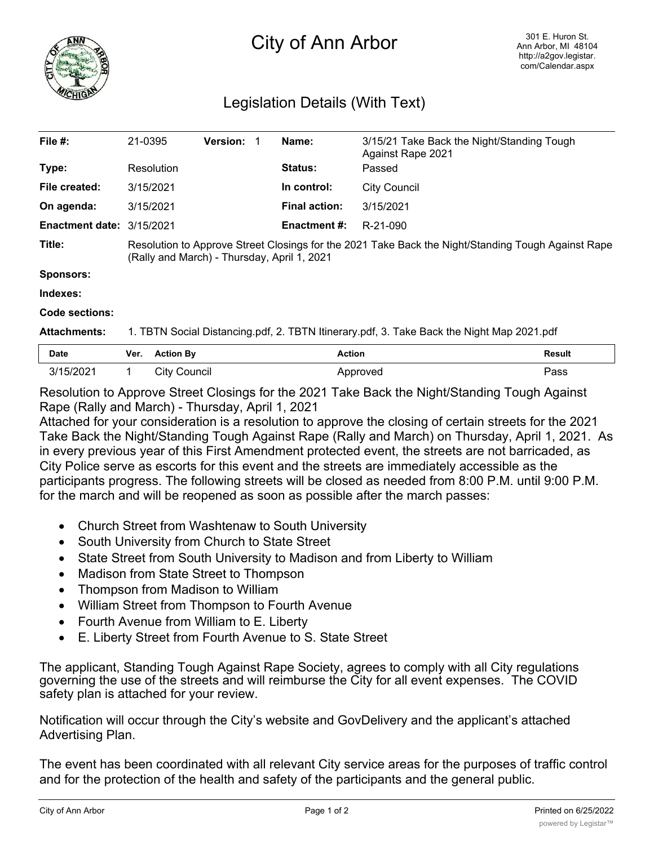

## City of Ann Arbor

## Legislation Details (With Text)

| File $#$ :                                    | 21-0395                                                                                                                                           |                     | <b>Version:</b> |  | Name:                | 3/15/21 Take Back the Night/Standing Tough<br>Against Rape 2021 |               |
|-----------------------------------------------|---------------------------------------------------------------------------------------------------------------------------------------------------|---------------------|-----------------|--|----------------------|-----------------------------------------------------------------|---------------|
| Type:                                         | Resolution                                                                                                                                        |                     |                 |  | Status:              | Passed                                                          |               |
| File created:                                 | 3/15/2021                                                                                                                                         |                     |                 |  | In control:          | <b>City Council</b>                                             |               |
| On agenda:                                    | 3/15/2021                                                                                                                                         |                     |                 |  | <b>Final action:</b> | 3/15/2021                                                       |               |
| <b>Enactment date: <math>3/15/2021</math></b> |                                                                                                                                                   |                     |                 |  | Enactment #:         | R-21-090                                                        |               |
| Title:                                        | Resolution to Approve Street Closings for the 2021 Take Back the Night/Standing Tough Against Rape<br>(Rally and March) - Thursday, April 1, 2021 |                     |                 |  |                      |                                                                 |               |
| <b>Sponsors:</b>                              |                                                                                                                                                   |                     |                 |  |                      |                                                                 |               |
| Indexes:                                      |                                                                                                                                                   |                     |                 |  |                      |                                                                 |               |
| Code sections:                                |                                                                                                                                                   |                     |                 |  |                      |                                                                 |               |
| <b>Attachments:</b>                           | 1. TBTN Social Distancing.pdf, 2. TBTN Itinerary.pdf, 3. Take Back the Night Map 2021.pdf                                                         |                     |                 |  |                      |                                                                 |               |
| <b>Date</b>                                   | Ver.                                                                                                                                              | <b>Action By</b>    |                 |  | <b>Action</b>        |                                                                 | <b>Result</b> |
| 3/15/2021                                     | 1                                                                                                                                                 | <b>City Council</b> |                 |  |                      | Approved                                                        | Pass          |

Resolution to Approve Street Closings for the 2021 Take Back the Night/Standing Tough Against Rape (Rally and March) - Thursday, April 1, 2021

Attached for your consideration is a resolution to approve the closing of certain streets for the 2021 Take Back the Night/Standing Tough Against Rape (Rally and March) on Thursday, April 1, 2021. As in every previous year of this First Amendment protected event, the streets are not barricaded, as City Police serve as escorts for this event and the streets are immediately accessible as the participants progress. The following streets will be closed as needed from 8:00 P.M. until 9:00 P.M. for the march and will be reopened as soon as possible after the march passes:

- Church Street from Washtenaw to South University
- · South University from Church to State Street
- State Street from South University to Madison and from Liberty to William
- · Madison from State Street to Thompson
- · Thompson from Madison to William
- · William Street from Thompson to Fourth Avenue
- · Fourth Avenue from William to E. Liberty
- · E. Liberty Street from Fourth Avenue to S. State Street

The applicant, Standing Tough Against Rape Society, agrees to comply with all City regulations governing the use of the streets and will reimburse the City for all event expenses. The COVID safety plan is attached for your review.

Notification will occur through the City's website and GovDelivery and the applicant's attached Advertising Plan.

The event has been coordinated with all relevant City service areas for the purposes of traffic control and for the protection of the health and safety of the participants and the general public.